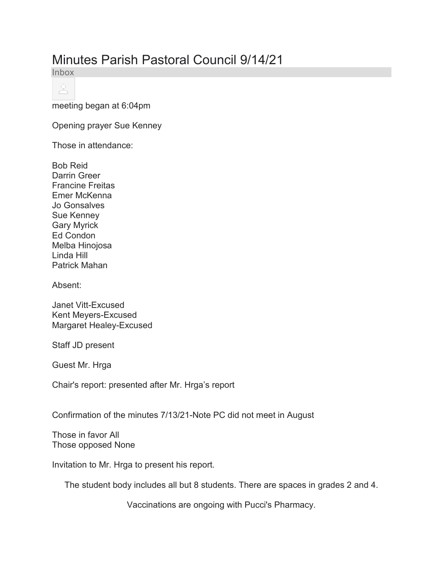## Minutes Parish Pastoral Council 9/14/21

Inbox

으

meeting began at 6:04pm

Opening prayer Sue Kenney

Those in attendance:

Bob Reid Darrin Greer Francine Freitas Emer McKenna Jo Gonsalves Sue Kenney Gary Myrick Ed Condon Melba Hinojosa Linda Hill Patrick Mahan

Absent:

Janet Vitt-Excused Kent Meyers-Excused Margaret Healey-Excused

Staff JD present

Guest Mr. Hrga

Chair's report: presented after Mr. Hrga's report

Confirmation of the minutes 7/13/21-Note PC did not meet in August

Those in favor All Those opposed None

Invitation to Mr. Hrga to present his report.

The student body includes all but 8 students. There are spaces in grades 2 and 4.

Vaccinations are ongoing with Pucci's Pharmacy.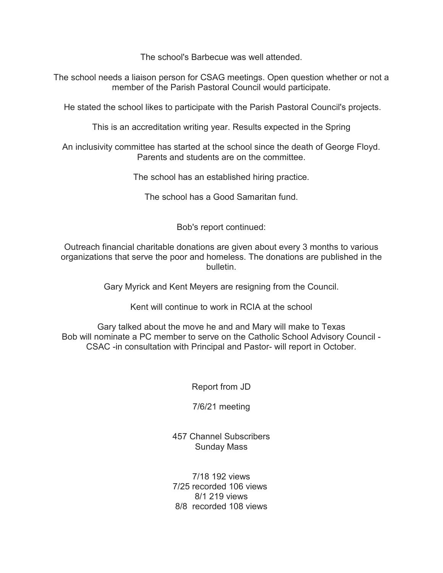The school's Barbecue was well attended.

The school needs a liaison person for CSAG meetings. Open question whether or not a member of the Parish Pastoral Council would participate.

He stated the school likes to participate with the Parish Pastoral Council's projects.

This is an accreditation writing year. Results expected in the Spring

An inclusivity committee has started at the school since the death of George Floyd. Parents and students are on the committee.

The school has an established hiring practice.

The school has a Good Samaritan fund.

Bob's report continued:

Outreach financial charitable donations are given about every 3 months to various organizations that serve the poor and homeless. The donations are published in the bulletin.

Gary Myrick and Kent Meyers are resigning from the Council.

Kent will continue to work in RCIA at the school

Gary talked about the move he and and Mary will make to Texas Bob will nominate a PC member to serve on the Catholic School Advisory Council - CSAC -in consultation with Principal and Pastor- will report in October.

Report from JD

7/6/21 meeting

457 Channel Subscribers Sunday Mass

7/18 192 views 7/25 recorded 106 views 8/1 219 views 8/8 recorded 108 views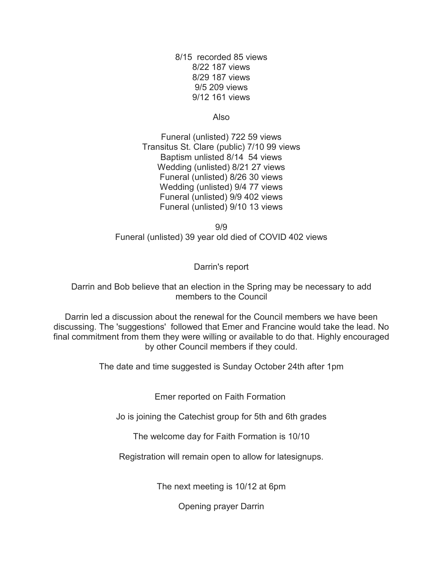8/15 recorded 85 views 8/22 187 views 8/29 187 views 9/5 209 views 9/12 161 views

Also

Funeral (unlisted) 722 59 views Transitus St. Clare (public) 7/10 99 views Baptism unlisted 8/14 54 views Wedding (unlisted) 8/21 27 views Funeral (unlisted) 8/26 30 views Wedding (unlisted) 9/4 77 views Funeral (unlisted) 9/9 402 views Funeral (unlisted) 9/10 13 views

9/9 Funeral (unlisted) 39 year old died of COVID 402 views

Darrin's report

Darrin and Bob believe that an election in the Spring may be necessary to add members to the Council

Darrin led a discussion about the renewal for the Council members we have been discussing. The 'suggestions' followed that Emer and Francine would take the lead. No final commitment from them they were willing or available to do that. Highly encouraged by other Council members if they could.

The date and time suggested is Sunday October 24th after 1pm

Emer reported on Faith Formation

Jo is joining the Catechist group for 5th and 6th grades

The welcome day for Faith Formation is 10/10

Registration will remain open to allow for latesignups.

The next meeting is 10/12 at 6pm

Opening prayer Darrin